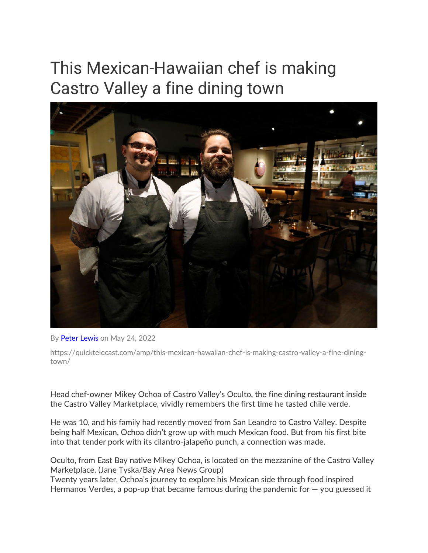# This Mexican-Hawaiian chef is making Castro Valley a fine dining town



By [Peter Lewis](https://quicktelecast.com/amp/author/peter-lewis/) on May 24, 2022

https://quicktelecast.com/amp/this-mexican-hawaiian-chef-is-making-castro-valley-a-fine-diningtown/

Head chef-owner Mikey Ochoa of Castro Valley's Oculto, the fine dining restaurant inside the Castro Valley Marketplace, vividly remembers the first time he tasted chile verde.

He was 10, and his family had recently moved from San Leandro to Castro Valley. Despite being half Mexican, Ochoa didn't grow up with much Mexican food. But from his first bite into that tender pork with its cilantro-jalapeño punch, a connection was made.

Oculto, from East Bay native Mikey Ochoa, is located on the mezzanine of the Castro Valley Marketplace. (Jane Tyska/Bay Area News Group)

Twenty years later, Ochoa's journey to explore his Mexican side through food inspired Hermanos Verdes, a pop-up that became famous during the pandemic for  $-$  you guessed it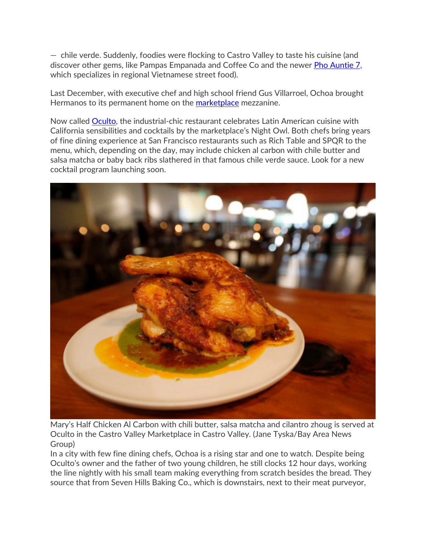— chile verde. Suddenly, foodies were flocking to Castro Valley to taste his cuisine (and discover other gems, like Pampas Empanada and Coffee Co and the newer **Pho Auntie 7**, which specializes in regional Vietnamese street food).

Last December, with executive chef and high school friend Gus Villarroel, Ochoa brought Hermanos to its permanent home on the [marketplace](https://castrovalleymarketplace.com/) mezzanine.

Now called [Oculto,](https://www.exploretock.com/oculto) the industrial-chic restaurant celebrates Latin American cuisine with California sensibilities and cocktails by the marketplace's Night Owl. Both chefs bring years of fine dining experience at San Francisco restaurants such as Rich Table and SPQR to the menu, which, depending on the day, may include chicken al carbon with chile butter and salsa matcha or baby back ribs slathered in that famous chile verde sauce. Look for a new cocktail program launching soon.



Mary's Half Chicken Al Carbon with chili butter, salsa matcha and cilantro zhoug is served at Oculto in the Castro Valley Marketplace in Castro Valley. (Jane Tyska/Bay Area News Group)

In a city with few fine dining chefs, Ochoa is a rising star and one to watch. Despite being Oculto's owner and the father of two young children, he still clocks 12 hour days, working the line nightly with his small team making everything from scratch besides the bread. They source that from Seven Hills Baking Co., which is downstairs, next to their meat purveyor,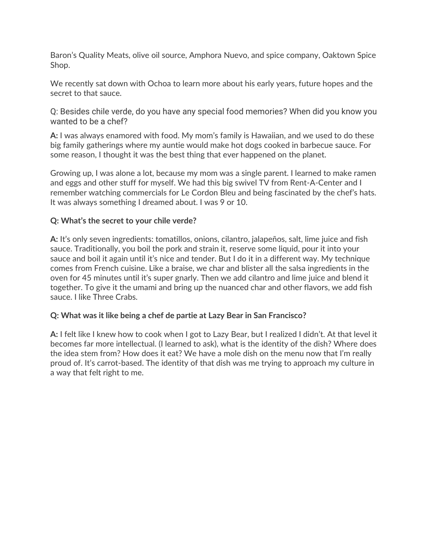Baron's Quality Meats, olive oil source, Amphora Nuevo, and spice company, Oaktown Spice Shop.

We recently sat down with Ochoa to learn more about his early years, future hopes and the secret to that sauce.

Q: Besides chile verde, do you have any special food memories? When did you know you wanted to be a chef?

**A:** I was always enamored with food. My mom's family is Hawaiian, and we used to do these big family gatherings where my auntie would make hot dogs cooked in barbecue sauce. For some reason, I thought it was the best thing that ever happened on the planet.

Growing up, I was alone a lot, because my mom was a single parent. I learned to make ramen and eggs and other stuff for myself. We had this big swivel TV from Rent-A-Center and I remember watching commercials for Le Cordon Bleu and being fascinated by the chef's hats. It was always something I dreamed about. I was 9 or 10.

## **Q: What's the secret to your chile verde?**

**A:** It's only seven ingredients: tomatillos, onions, cilantro, jalapeños, salt, lime juice and fish sauce. Traditionally, you boil the pork and strain it, reserve some liquid, pour it into your sauce and boil it again until it's nice and tender. But I do it in a different way. My technique comes from French cuisine. Like a braise, we char and blister all the salsa ingredients in the oven for 45 minutes until it's super gnarly. Then we add cilantro and lime juice and blend it together. To give it the umami and bring up the nuanced char and other flavors, we add fish sauce. I like Three Crabs.

#### **Q: What was it like being a chef de partie at Lazy Bear in San Francisco?**

**A:** I felt like I knew how to cook when I got to Lazy Bear, but I realized I didn't. At that level it becomes far more intellectual. (I learned to ask), what is the identity of the dish? Where does the idea stem from? How does it eat? We have a mole dish on the menu now that I'm really proud of. It's carrot-based. The identity of that dish was me trying to approach my culture in a way that felt right to me.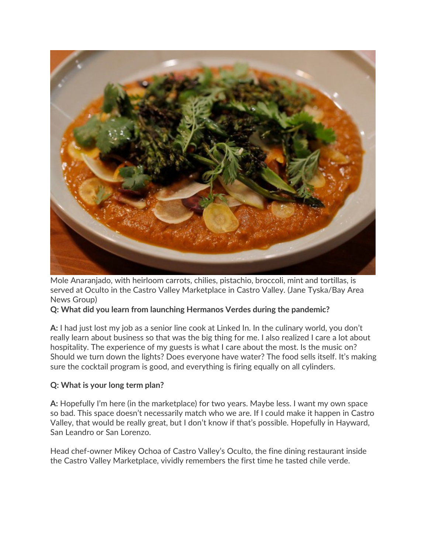

Mole Anaranjado, with heirloom carrots, chilies, pistachio, broccoli, mint and tortillas, is served at Oculto in the Castro Valley Marketplace in Castro Valley. (Jane Tyska/Bay Area News Group)

# **Q: What did you learn from launching Hermanos Verdes during the pandemic?**

**A:** I had just lost my job as a senior line cook at Linked In. In the culinary world, you don't really learn about business so that was the big thing for me. I also realized I care a lot about hospitality. The experience of my guests is what I care about the most. Is the music on? Should we turn down the lights? Does everyone have water? The food sells itself. It's making sure the cocktail program is good, and everything is firing equally on all cylinders.

#### **Q: What is your long term plan?**

**A:** Hopefully I'm here (in the marketplace) for two years. Maybe less. I want my own space so bad. This space doesn't necessarily match who we are. If I could make it happen in Castro Valley, that would be really great, but I don't know if that's possible. Hopefully in Hayward, San Leandro or San Lorenzo.

Head chef-owner Mikey Ochoa of Castro Valley's Oculto, the fine dining restaurant inside the Castro Valley Marketplace, vividly remembers the first time he tasted chile verde.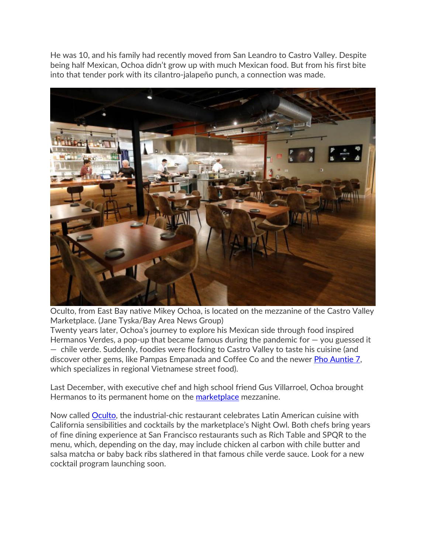He was 10, and his family had recently moved from San Leandro to Castro Valley. Despite being half Mexican, Ochoa didn't grow up with much Mexican food. But from his first bite into that tender pork with its cilantro-jalapeño punch, a connection was made.



Oculto, from East Bay native Mikey Ochoa, is located on the mezzanine of the Castro Valley Marketplace. (Jane Tyska/Bay Area News Group)

Twenty years later, Ochoa's journey to explore his Mexican side through food inspired Hermanos Verdes, a pop-up that became famous during the pandemic for  $-$  you guessed it — chile verde. Suddenly, foodies were flocking to Castro Valley to taste his cuisine (and discover other gems, like Pampas Empanada and Coffee Co and the newer [Pho Auntie 7,](https://phoauntie7.square.site/) which specializes in regional Vietnamese street food).

Last December, with executive chef and high school friend Gus Villarroel, Ochoa brought Hermanos to its permanent home on the [marketplace](https://castrovalleymarketplace.com/) mezzanine.

Now called [Oculto,](https://www.exploretock.com/oculto) the industrial-chic restaurant celebrates Latin American cuisine with California sensibilities and cocktails by the marketplace's Night Owl. Both chefs bring years of fine dining experience at San Francisco restaurants such as Rich Table and SPQR to the menu, which, depending on the day, may include chicken al carbon with chile butter and salsa matcha or baby back ribs slathered in that famous chile verde sauce. Look for a new cocktail program launching soon.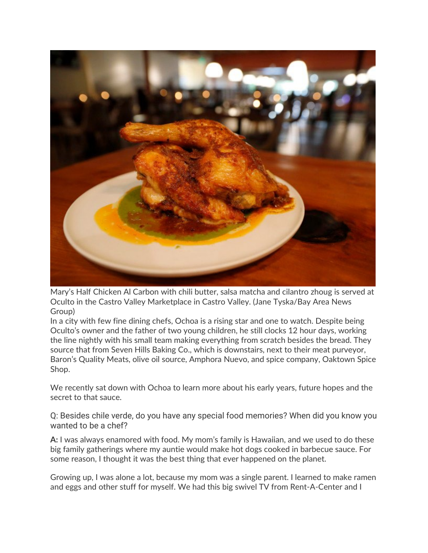

Mary's Half Chicken Al Carbon with chili butter, salsa matcha and cilantro zhoug is served at Oculto in the Castro Valley Marketplace in Castro Valley. (Jane Tyska/Bay Area News Group)

In a city with few fine dining chefs, Ochoa is a rising star and one to watch. Despite being Oculto's owner and the father of two young children, he still clocks 12 hour days, working the line nightly with his small team making everything from scratch besides the bread. They source that from Seven Hills Baking Co., which is downstairs, next to their meat purveyor, Baron's Quality Meats, olive oil source, Amphora Nuevo, and spice company, Oaktown Spice Shop.

We recently sat down with Ochoa to learn more about his early years, future hopes and the secret to that sauce.

Q: Besides chile verde, do you have any special food memories? When did you know you wanted to be a chef?

**A:** I was always enamored with food. My mom's family is Hawaiian, and we used to do these big family gatherings where my auntie would make hot dogs cooked in barbecue sauce. For some reason, I thought it was the best thing that ever happened on the planet.

Growing up, I was alone a lot, because my mom was a single parent. I learned to make ramen and eggs and other stuff for myself. We had this big swivel TV from Rent-A-Center and I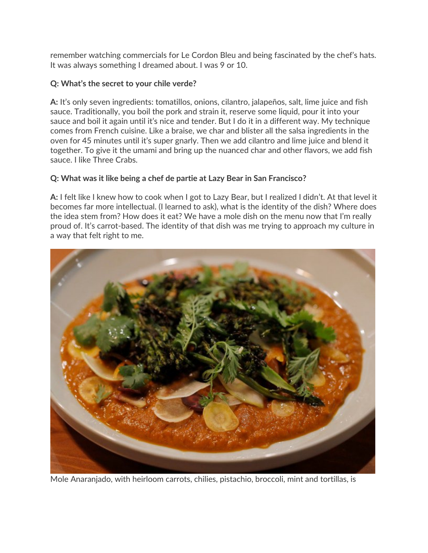remember watching commercials for Le Cordon Bleu and being fascinated by the chef's hats. It was always something I dreamed about. I was 9 or 10.

# **Q: What's the secret to your chile verde?**

**A:** It's only seven ingredients: tomatillos, onions, cilantro, jalapeños, salt, lime juice and fish sauce. Traditionally, you boil the pork and strain it, reserve some liquid, pour it into your sauce and boil it again until it's nice and tender. But I do it in a different way. My technique comes from French cuisine. Like a braise, we char and blister all the salsa ingredients in the oven for 45 minutes until it's super gnarly. Then we add cilantro and lime juice and blend it together. To give it the umami and bring up the nuanced char and other flavors, we add fish sauce. I like Three Crabs.

## **Q: What was it like being a chef de partie at Lazy Bear in San Francisco?**

**A:** I felt like I knew how to cook when I got to Lazy Bear, but I realized I didn't. At that level it becomes far more intellectual. (I learned to ask), what is the identity of the dish? Where does the idea stem from? How does it eat? We have a mole dish on the menu now that I'm really proud of. It's carrot-based. The identity of that dish was me trying to approach my culture in a way that felt right to me.



Mole Anaranjado, with heirloom carrots, chilies, pistachio, broccoli, mint and tortillas, is